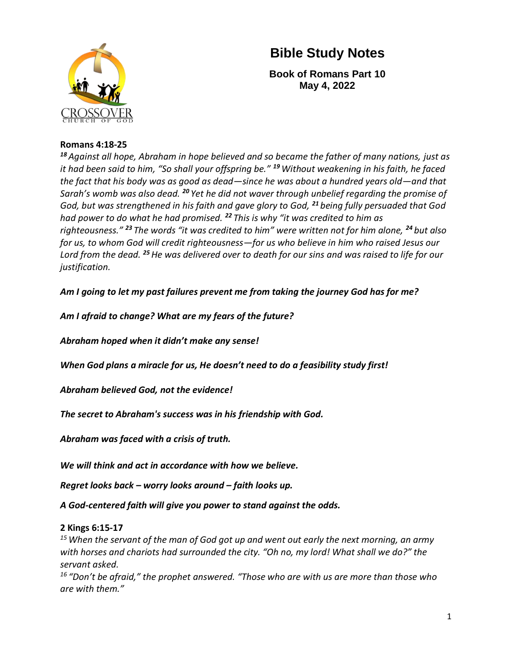

**Book of Romans Part 10 May 4, 2022**

#### **Romans 4:18-25**

*<sup>18</sup> Against all hope, Abraham in hope believed and so became the father of many nations, just as it had been said to him, "So shall your offspring be." <sup>19</sup>Without weakening in his faith, he faced the fact that his body was as good as dead—since he was about a hundred years old—and that Sarah's womb was also dead. <sup>20</sup> Yet he did not waver through unbelief regarding the promise of God, but was strengthened in his faith and gave glory to God, <sup>21</sup> being fully persuaded that God had power to do what he had promised. <sup>22</sup> This is why "it was credited to him as righteousness." <sup>23</sup> The words "it was credited to him" were written not for him alone, <sup>24</sup> but also for us, to whom God will credit righteousness—for us who believe in him who raised Jesus our Lord from the dead. <sup>25</sup>He was delivered over to death for our sins and was raised to life for our justification.*

*Am I going to let my past failures prevent me from taking the journey God has for me?*

*Am I afraid to change? What are my fears of the future?*

*Abraham hoped when it didn't make any sense!*

*When God plans a miracle for us, He doesn't need to do a feasibility study first!*

*Abraham believed God, not the evidence!*

*The secret to Abraham's success was in his friendship with God.*

*Abraham was faced with a crisis of truth.*

*We will think and act in accordance with how we believe.*

*Regret looks back – worry looks around – faith looks up.* 

*A God-centered faith will give you power to stand against the odds.*

#### **2 Kings 6:15-17**

*<sup>15</sup>When the servant of the man of God got up and went out early the next morning, an army with horses and chariots had surrounded the city. "Oh no, my lord! What shall we do?" the servant asked.*

*<sup>16</sup> "Don't be afraid," the prophet answered. "Those who are with us are more than those who are with them."*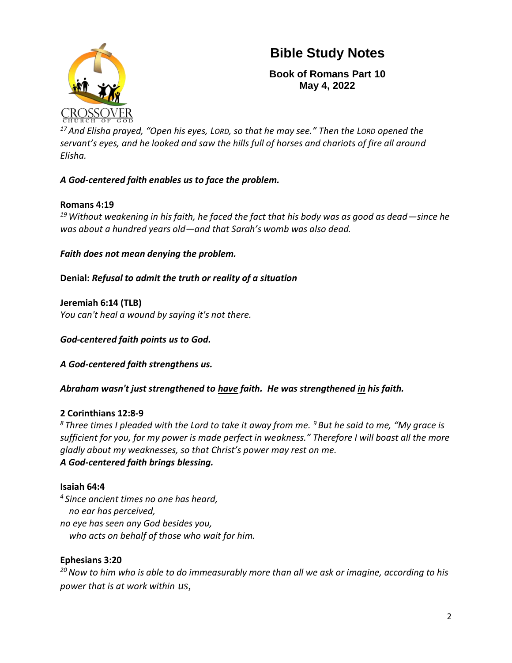

**Book of Romans Part 10 May 4, 2022**

*<sup>17</sup> And Elisha prayed, "Open his eyes, LORD, so that he may see." Then the LORD opened the servant's eyes, and he looked and saw the hills full of horses and chariots of fire all around Elisha.*

### *A God-centered faith enables us to face the problem.*

#### **Romans 4:19**

*<sup>19</sup>Without weakening in his faith, he faced the fact that his body was as good as dead—since he was about a hundred years old—and that Sarah's womb was also dead.* 

*Faith does not mean denying the problem.*

**Denial:** *Refusal to admit the truth or reality of a situation*

**Jeremiah 6:14 (TLB)** *You can't heal a wound by saying it's not there.*

*God-centered faith points us to God.*

*A God-centered faith strengthens us.*

*Abraham wasn't just strengthened to have faith. He was strengthened in his faith.*

#### **2 Corinthians 12:8-9**

*<sup>8</sup> Three times I pleaded with the Lord to take it away from me. <sup>9</sup> But he said to me, "My grace is sufficient for you, for my power is made perfect in weakness." Therefore I will boast all the more gladly about my weaknesses, so that Christ's power may rest on me. A God-centered faith brings blessing.*

#### **Isaiah 64:4**

*4 Since ancient times no one has heard, no ear has perceived, no eye has seen any God besides you, who acts on behalf of those who wait for him.*

#### **Ephesians 3:20**

*<sup>20</sup>Now to him who is able to do immeasurably more than all we ask or imagine, according to his power that is at work within us,*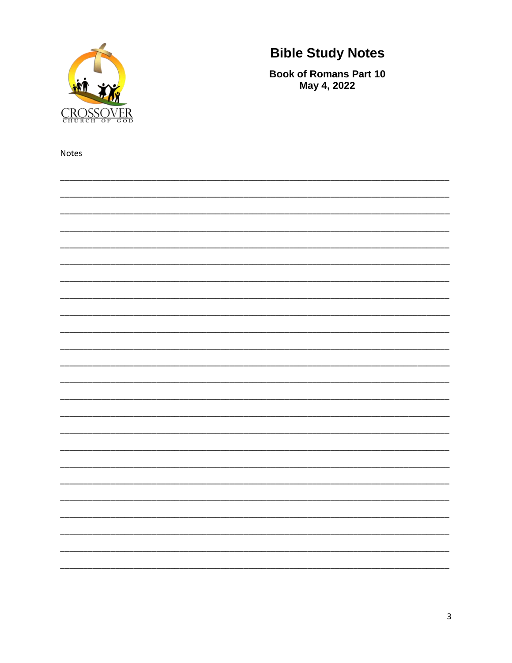

**Book of Romans Part 10** May 4, 2022

Notes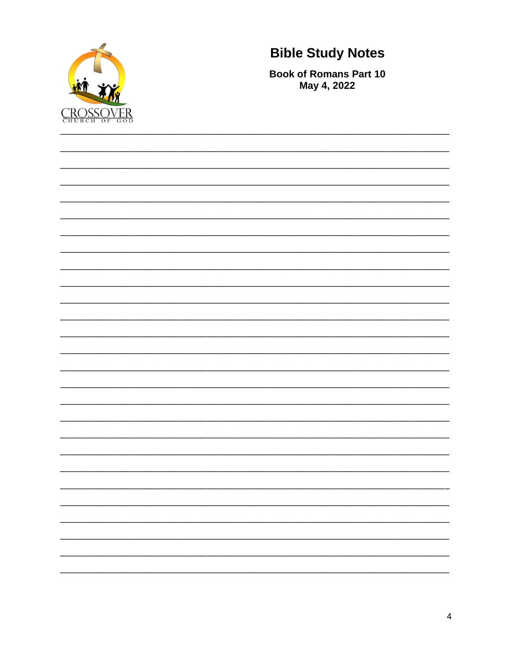

**Book of Romans Part 10** May 4, 2022